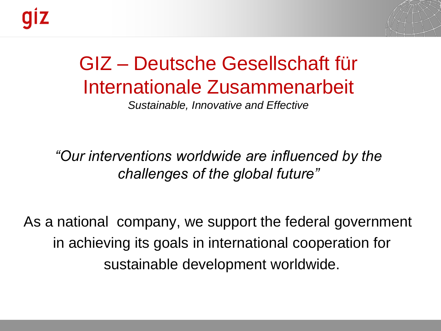

# GIZ – Deutsche Gesellschaft für Internationale Zusammenarbeit

*Sustainable, Innovative and Effective*

*"Our interventions worldwide are influenced by the challenges of the global future"* 

As a national company, we support the federal government in achieving its goals in international cooperation for sustainable development worldwide.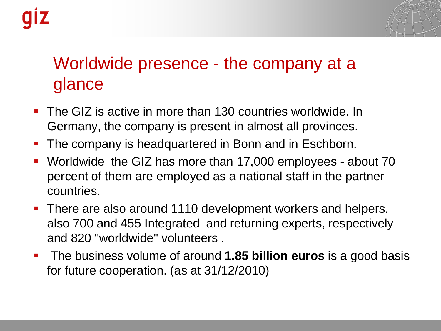

## Worldwide presence - the company at a glance

- The GIZ is active in more than 130 countries worldwide. In Germany, the company is present in almost all provinces.
- **The company is headquartered in Bonn and in Eschborn.**
- Worldwide the GIZ has more than 17,000 employees about 70 percent of them are employed as a national staff in the partner countries.
- There are also around 1110 development workers and helpers, also 700 and 455 Integrated and returning experts, respectively and 820 "worldwide" volunteers .
- **The business volume of around 1.85 billion euros** is a good basis for future cooperation. (as at 31/12/2010)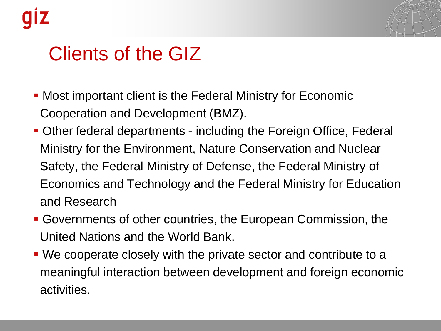

## Clients of the GIZ

- Most important client is the Federal Ministry for Economic Cooperation and Development (BMZ).
- Other federal departments including the Foreign Office, Federal Ministry for the Environment, Nature Conservation and Nuclear Safety, the Federal Ministry of Defense, the Federal Ministry of Economics and Technology and the Federal Ministry for Education and Research
- Governments of other countries, the European Commission, the United Nations and the World Bank.
- We cooperate closely with the private sector and contribute to a meaningful interaction between development and foreign economic activities.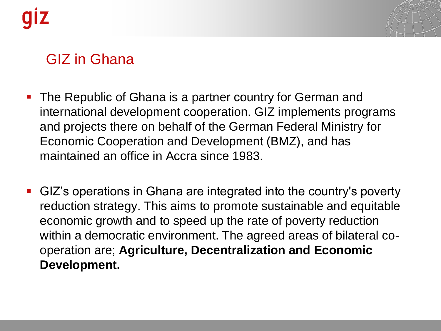

## GIZ in Ghana

- **The Republic of Ghana is a partner country for German and** international development cooperation. GIZ implements programs and projects there on behalf of the German Federal Ministry for Economic Cooperation and Development (BMZ), and has maintained an office in Accra since 1983.
- GIZ's operations in Ghana are integrated into the country's poverty reduction strategy. This aims to promote sustainable and equitable economic growth and to speed up the rate of poverty reduction within a democratic environment. The agreed areas of bilateral cooperation are; **Agriculture, Decentralization and Economic Development.**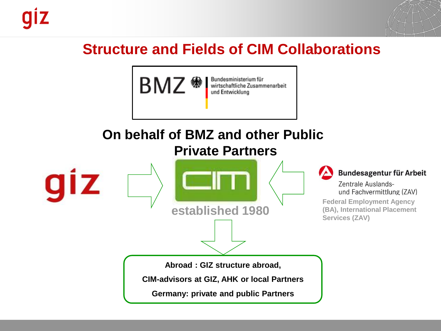

## **Structure and Fields of CIM Collaborations**



#### **On behalf of BMZ and other Public Private Partners**

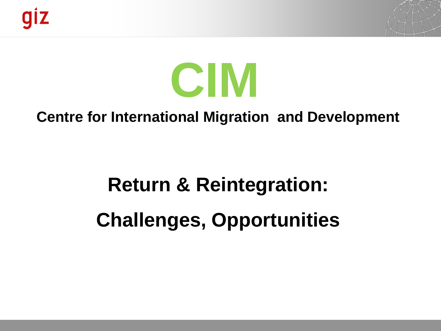

# **CIM**

### **Centre for International Migration and Development**

# **Return & Reintegration: Challenges, Opportunities**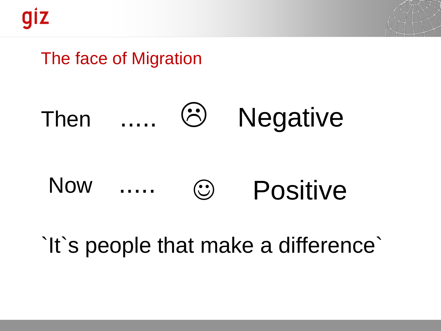

## The face of Migration



#### Now Positive

# `It`s people that make a difference`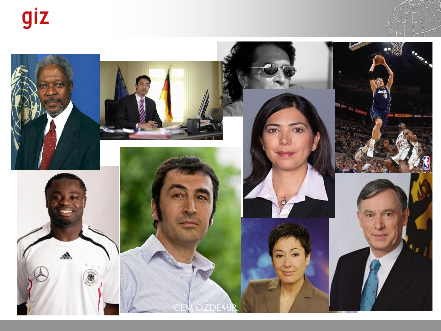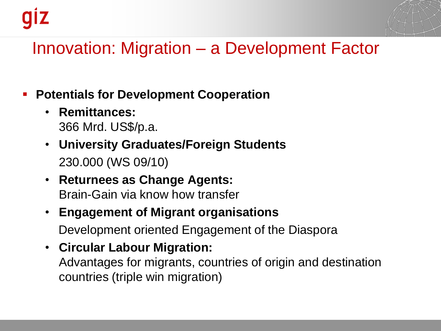

## Innovation: Migration – a Development Factor

#### **Potentials for Development Cooperation**

- **Remittances:** 366 Mrd. US\$/p.a.
- **University Graduates/Foreign Students** 230.000 (WS 09/10)
- **Returnees as Change Agents:** Brain-Gain via know how transfer
- **Engagement of Migrant organisations** Development oriented Engagement of the Diaspora
- **Circular Labour Migration:** Advantages for migrants, countries of origin and destination countries (triple win migration)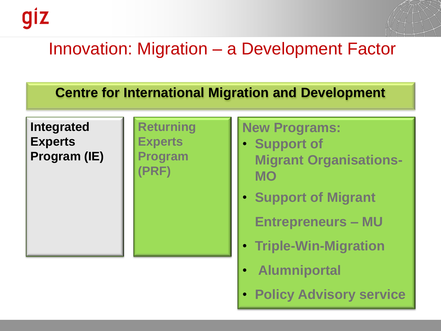

## Innovation: Migration – a Development Factor

#### **Centre for International Migration and Development**

#### **Integrated Experts Program (IE)**

#### **Returning Experts Program**

**(PRF)**

## **New Programs:**

- **Support of Migrant Organisations-MO**
- **Support of Migrant**

**Entrepreneurs – MU**

- **Triple-Win-Migration**
- **Alumniportal**
- **Policy Advisory service**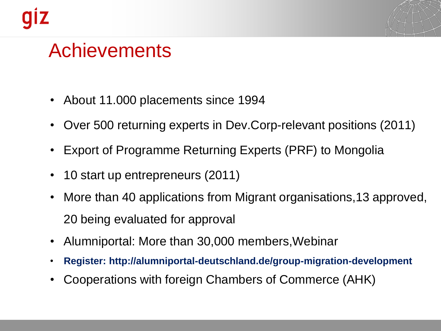

## Achievements

- About 11.000 placements since 1994
- Over 500 returning experts in Dev.Corp-relevant positions (2011)
- Export of Programme Returning Experts (PRF) to Mongolia
- 10 start up entrepreneurs (2011)
- More than 40 applications from Migrant organisations,13 approved, 20 being evaluated for approval
- Alumniportal: More than 30,000 members,Webinar
- **Register: http://alumniportal-deutschland.de/group-migration-development**
- Cooperations with foreign Chambers of Commerce (AHK)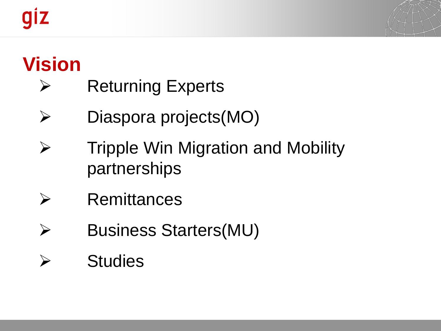# giz



## **Vision**

- $\triangleright$  Returning Experts
- Diaspora projects(MO)
- $\triangleright$  Tripple Win Migration and Mobility partnerships
- $\triangleright$  Remittances
- Business Starters(MU)
- $\triangleright$  Studies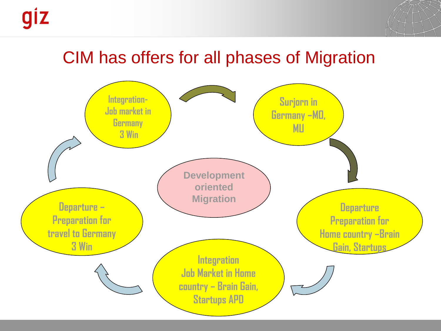

## CIM has offers for all phases of Migration

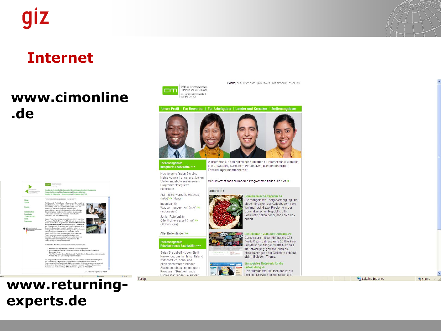

### **Internet**

 $cm$ presidents<br>1971 - P

### **www.cimonline .de**

ing I ihre Registrierung I dikteure & Kontakt<br>pober I Deverbersuche I Stellereingabe I E

hrenen Fach

atzen orientiert sich das Programmangebot

ale Migration als Faktor der Entwicklung fördern<br>jer Know-haw Transfer durch berufliche Integration Ri

Rückkehrende Fachkräfte wird vom Centrum für internat<br>| (CBB) im Auftrag (des Bundesmissterums für Wirtschuld<br>| und Étravisking (BBAZ) duchgeführt. CIM ist eine Arb<br>|Fesellschaft für technische Züsammersarbeit (GTZ) und<br>|

**Surch Rückkehrende Fachkräfte als Brückenbauer int** 

rgn LO Bind

ROGRAMM RUCKICHRENDE FACHKRÄFTE

g an Arbe



HOME | PUBLIKATIONEN | KONTAKT | IMPRESSUM | ENGLISH



#### Integrierte Fachkräfte +++

Programm "Integrierte Fachkräfte":

(m/w) >> (Nepal)

Nachfolgend finden Sie eine

Arzt mit Schwerpunkt HIV/Aids

Willkommen auf den Seiten des Centrums für internationale Migration und Entwicklung (CIM), dem Personalvermittler der deutschen Entwicklungszusammenarbeit.

kleine Auswahl unserer aktuellen Stellenangebote aus unserem Mehr Informationen zu unseren Programmen finden Sie hier >>.

#### Aktuell +++

Dominikanische Republik >>



Die mangelhafte Energieversorgung und die Abhängigkeit der Kaffeebauern vom Weltmarkt sind zwei Probleme in der Dominikanischen Republik. CIM-Fachkräfte helfen dabei, dass sich das ändert.

#### Die CIMintern zum Jahresthema >>

Gemeinsam mit der KfW hat die GTZ "Vielfalt" zum Jahresthema 2010 erkoren und dafür den Slogan "Vielfalt - Impuls für Entwicklung" gewählt. Auch die aktuelle Ausgabe der CIMintern befasst sich mit diesem Thema.

#### Ein soziales Netzwerk für die

Entwicklung >> Das Alumniportal Deutschland ist ein soziales Netzwerk für Menschen aus

Lokales Intranet

● 100% ▼

#### **www.returningexperts.de**

Ingenieur für Wassermanagement (m/w) >> (Indonesien) Junior-Referent für Offentlichkeitsarbeit (m/w) >> (Afghanistan) Alle Stellen finden >> Stellenangebote

Fertig

4,100% -

Rückkehrende Fachkräfte +++ wirtschaftlich, sozial und

Fachkräfte" finden Sie auf de





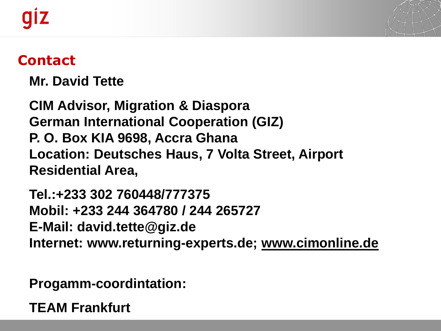

## **Contact**

**Mr. David Tette**

**CIM Advisor, Migration & Diaspora German International Cooperation (GIZ) P. O. Box KIA 9698, Accra Ghana Location: Deutsches Haus, 7 Volta Street, Airport Residential Area,**

**Tel.:+233 302 760448/777375 Mobil: +233 244 364780 / 244 265727 E-Mail: david.tette@giz.de Internet: www.returning-experts.de; [www.cimonline.de](http://www.cimonline.de/)**

**Progamm-coordintation:**

**TEAM Frankfurt**